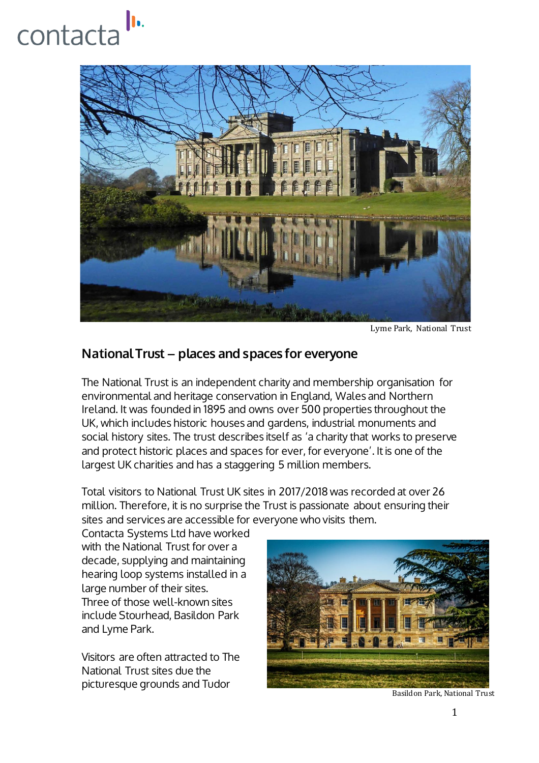## h. contacta



Lyme Park, National Trust

## National Trust – places and spaces for everyone

The National Trust is an independent charity and membership organisation for environmental and heritage conservation in England, Wales and Northern Ireland. It was founded in 1895 and owns over 500 properties throughout the UK, which includes historic houses and gardens, industrial monuments and social history sites. The trust describes itself as 'a charity that works to preserve and protect historic places and spaces for ever, for everyone'. It is one of the largest UK charities and has a staggering 5 million members.

Total visitors to National Trust UK sites in 2017/2018 was recorded at over 26 million. Therefore, it is no surprise the Trust is passionate about ensuring their sites and services are accessible for everyone who visits them.

Contacta Systems Ltd have worked with the National Trust for over a decade, supplying and maintaining hearing loop systems installed in a large number of their sites. Three of those well-known sites include Stourhead, Basildon Park and Lyme Park.

Visitors are often attracted to The National Trust sites due the picturesque grounds and Tudor



Basildon Park, National Trust